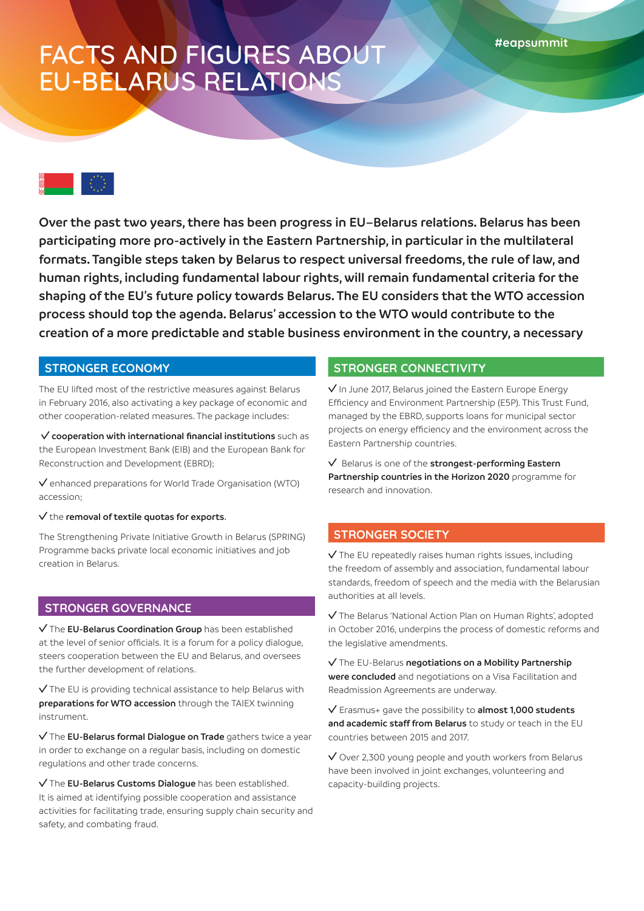## FACTS AND FIGURES ABOUT EU-BELARUS RELATIONS

**Over the past two years, there has been progress in EU–Belarus relations. Belarus has been participating more pro-actively in the Eastern Partnership, in particular in the multilateral formats. Tangible steps taken by Belarus to respect universal freedoms, the rule of law, and human rights, including fundamental labour rights, will remain fundamental criteria for the shaping of the EU's future policy towards Belarus. The EU considers that the WTO accession process should top the agenda. Belarus' accession to the WTO would contribute to the creation of a more predictable and stable business environment in the country, a necessary** 

#### **STRONGER ECONOMY**

The EU lifted most of the restrictive measures against Belarus in February 2016, also activating a key package of economic and other cooperation-related measures. The package includes:

**cooperation with international financial institutions** such as the European Investment Bank (EIB) and the European Bank for Reconstruction and Development (EBRD);

 $\vee$  enhanced preparations for World Trade Organisation (WTO) accession;

 $\sqrt{}$  the **removal of textile quotas for exports**.

The Strengthening Private Initiative Growth in Belarus (SPRING) Programme backs private local economic initiatives and job creation in Belarus.

#### **STRONGER GOVERNANCE**

The **EU-Belarus Coordination Group** has been established at the level of senior officials. It is a forum for a policy dialogue, steers cooperation between the EU and Belarus, and oversees the further development of relations.

 $\sqrt{}$  The EU is providing technical assistance to help Belarus with **preparations for WTO accession** through the TAIEX twinning instrument.

The **EU-Belarus formal Dialogue on Trade** gathers twice a year in order to exchange on a regular basis, including on domestic regulations and other trade concerns.

 The **EU-Belarus Customs Dialogue** has been established. It is aimed at identifying possible cooperation and assistance activities for facilitating trade, ensuring supply chain security and safety, and combating fraud.

#### **STRONGER CONNECTIVITY**

 $\sqrt{}$  In June 2017, Belarus joined the Eastern Europe Energy Efficiency and Environment Partnership (E5P). This Trust Fund, managed by the EBRD, supports loans for municipal sector projects on energy efficiency and the environment across the Eastern Partnership countries.

 Belarus is one of the **strongest-performing Eastern Partnership countries in the Horizon 2020** programme for research and innovation.

### **STRONGER SOCIETY**

 $\sqrt{}$  The EU repeatedly raises human rights issues, including the freedom of assembly and association, fundamental labour standards, freedom of speech and the media with the Belarusian authorities at all levels.

 The Belarus 'National Action Plan on Human Rights', adopted in October 2016, underpins the process of domestic reforms and the legislative amendments.

 The EU-Belarus **negotiations on a Mobility Partnership were concluded** and negotiations on a Visa Facilitation and Readmission Agreements are underway.

 Erasmus+ gave the possibility to **almost 1,000 students and academic staff from Belarus** to study or teach in the EU countries between 2015 and 2017.

 $\sqrt{}$  Over 2,300 young people and youth workers from Belarus have been involved in joint exchanges, volunteering and capacity-building projects.